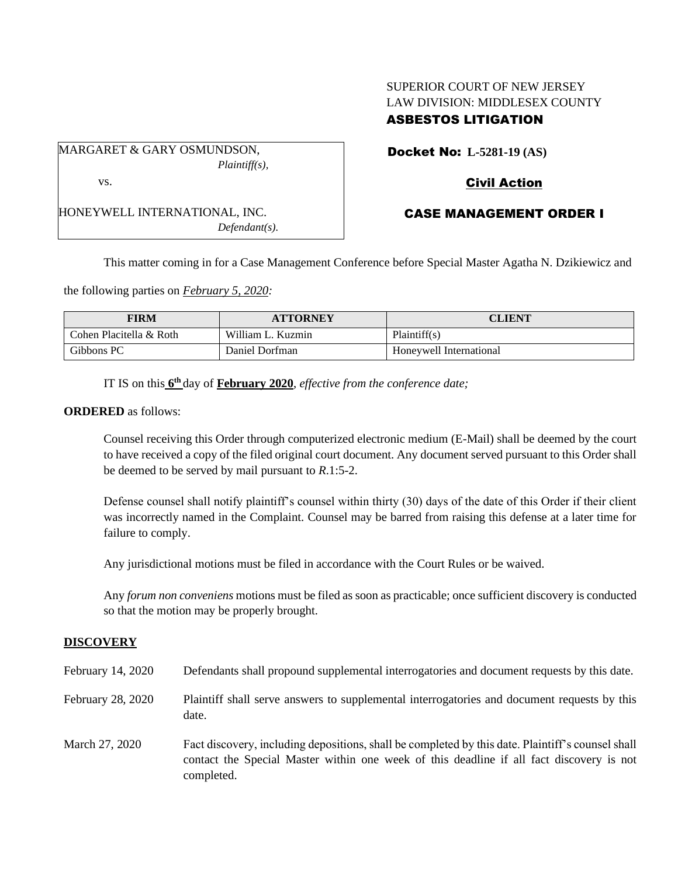# SUPERIOR COURT OF NEW JERSEY LAW DIVISION: MIDDLESEX COUNTY ASBESTOS LITIGATION

MARGARET & GARY OSMUNDSON, *Plaintiff(s),* vs.

HONEYWELL INTERNATIONAL, INC. *Defendant(s).* Docket No: **L-5281-19 (AS)**

## Civil Action

## CASE MANAGEMENT ORDER I

This matter coming in for a Case Management Conference before Special Master Agatha N. Dzikiewicz and

the following parties on *February 5, 2020:*

| FIRM                    | <b>ATTORNEY</b>   | CLIENT                  |
|-------------------------|-------------------|-------------------------|
| Cohen Placitella & Roth | William L. Kuzmin | Plaintiff(s)            |
| Gibbons PC              | Daniel Dorfman    | Honeywell International |

IT IS on this  $6<sup>th</sup>$  day of **February 2020**, *effective from the conference date*;

#### **ORDERED** as follows:

Counsel receiving this Order through computerized electronic medium (E-Mail) shall be deemed by the court to have received a copy of the filed original court document. Any document served pursuant to this Order shall be deemed to be served by mail pursuant to *R*.1:5-2.

Defense counsel shall notify plaintiff's counsel within thirty (30) days of the date of this Order if their client was incorrectly named in the Complaint. Counsel may be barred from raising this defense at a later time for failure to comply.

Any jurisdictional motions must be filed in accordance with the Court Rules or be waived.

Any *forum non conveniens* motions must be filed as soon as practicable; once sufficient discovery is conducted so that the motion may be properly brought.

### **DISCOVERY**

| February 14, 2020 | Defendants shall propound supplemental interrogatories and document requests by this date.                                                                                                                  |
|-------------------|-------------------------------------------------------------------------------------------------------------------------------------------------------------------------------------------------------------|
| February 28, 2020 | Plaintiff shall serve answers to supplemental interrogatories and document requests by this<br>date.                                                                                                        |
| March 27, 2020    | Fact discovery, including depositions, shall be completed by this date. Plaintiff's counsel shall<br>contact the Special Master within one week of this deadline if all fact discovery is not<br>completed. |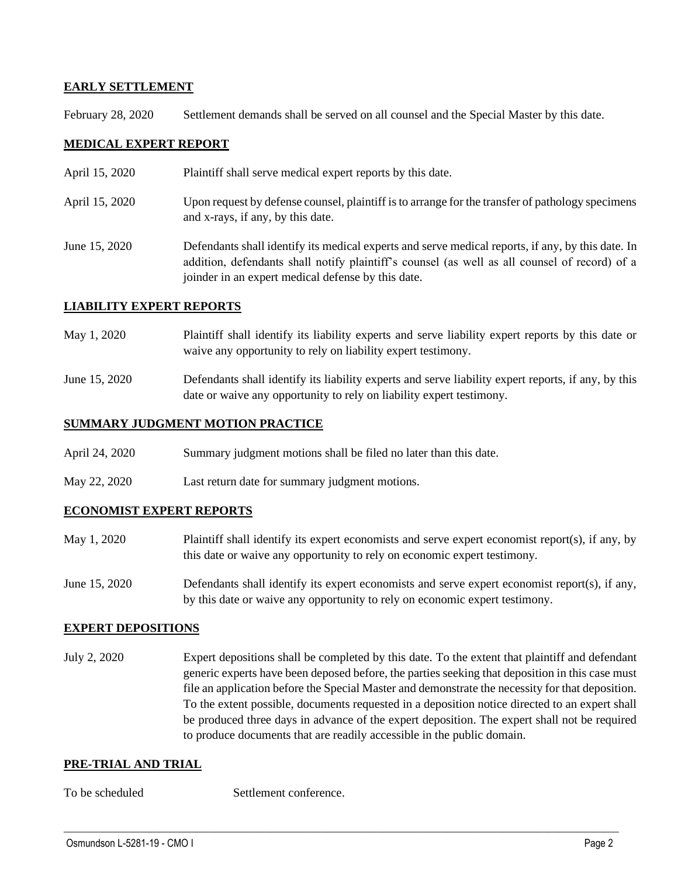### **EARLY SETTLEMENT**

February 28, 2020 Settlement demands shall be served on all counsel and the Special Master by this date.

## **MEDICAL EXPERT REPORT**

- April 15, 2020 Plaintiff shall serve medical expert reports by this date.
- April 15, 2020 Upon request by defense counsel, plaintiff is to arrange for the transfer of pathology specimens and x-rays, if any, by this date.
- June 15, 2020 Defendants shall identify its medical experts and serve medical reports, if any, by this date. In addition, defendants shall notify plaintiff's counsel (as well as all counsel of record) of a joinder in an expert medical defense by this date.

### **LIABILITY EXPERT REPORTS**

- May 1, 2020 Plaintiff shall identify its liability experts and serve liability expert reports by this date or waive any opportunity to rely on liability expert testimony.
- June 15, 2020 Defendants shall identify its liability experts and serve liability expert reports, if any, by this date or waive any opportunity to rely on liability expert testimony.

### **SUMMARY JUDGMENT MOTION PRACTICE**

- April 24, 2020 Summary judgment motions shall be filed no later than this date.
- May 22, 2020 Last return date for summary judgment motions.

### **ECONOMIST EXPERT REPORTS**

- May 1, 2020 Plaintiff shall identify its expert economists and serve expert economist report(s), if any, by this date or waive any opportunity to rely on economic expert testimony.
- June 15, 2020 Defendants shall identify its expert economists and serve expert economist report(s), if any, by this date or waive any opportunity to rely on economic expert testimony.

### **EXPERT DEPOSITIONS**

July 2, 2020 Expert depositions shall be completed by this date. To the extent that plaintiff and defendant generic experts have been deposed before, the parties seeking that deposition in this case must file an application before the Special Master and demonstrate the necessity for that deposition. To the extent possible, documents requested in a deposition notice directed to an expert shall be produced three days in advance of the expert deposition. The expert shall not be required to produce documents that are readily accessible in the public domain.

 $\_$  , and the set of the set of the set of the set of the set of the set of the set of the set of the set of the set of the set of the set of the set of the set of the set of the set of the set of the set of the set of th

### **PRE-TRIAL AND TRIAL**

To be scheduled Settlement conference.